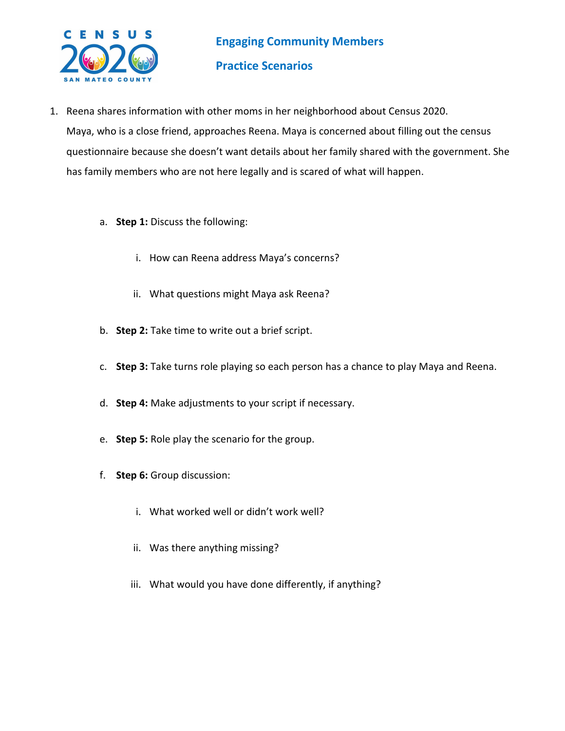

- 1. Reena shares information with other moms in her neighborhood about Census 2020. Maya, who is a close friend, approaches Reena. Maya is concerned about filling out the census questionnaire because she doesn't want details about her family shared with the government. She has family members who are not here legally and is scared of what will happen.
	- a. **Step 1:** Discuss the following:
		- i. How can Reena address Maya's concerns?
		- ii. What questions might Maya ask Reena?
	- b. **Step 2:** Take time to write out a brief script.
	- c. **Step 3:** Take turns role playing so each person has a chance to play Maya and Reena.
	- d. **Step 4:** Make adjustments to your script if necessary.
	- e. **Step 5:** Role play the scenario for the group.
	- f. **Step 6:** Group discussion:
		- i. What worked well or didn't work well?
		- ii. Was there anything missing?
		- iii. What would you have done differently, if anything?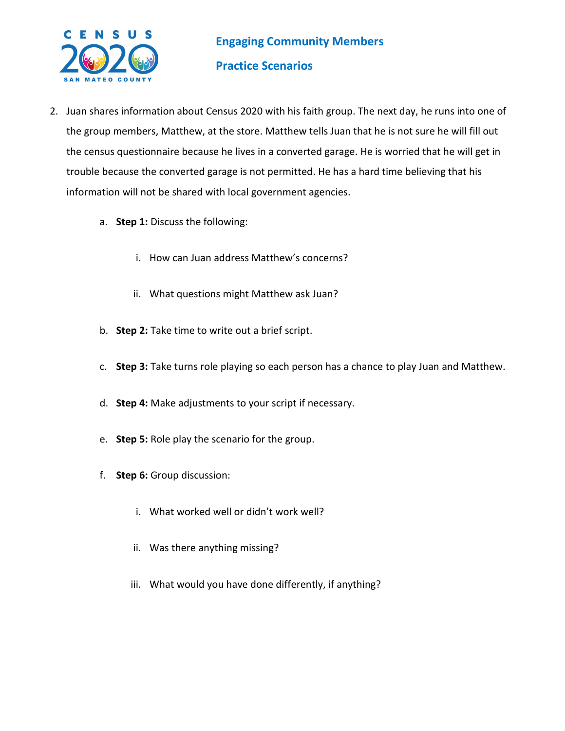

- 2. Juan shares information about Census 2020 with his faith group. The next day, he runs into one of the group members, Matthew, at the store. Matthew tells Juan that he is not sure he will fill out the census questionnaire because he lives in a converted garage. He is worried that he will get in trouble because the converted garage is not permitted. He has a hard time believing that his information will not be shared with local government agencies.
	- a. **Step 1:** Discuss the following:
		- i. How can Juan address Matthew's concerns?
		- ii. What questions might Matthew ask Juan?
	- b. **Step 2:** Take time to write out a brief script.
	- c. **Step 3:** Take turns role playing so each person has a chance to play Juan and Matthew.
	- d. **Step 4:** Make adjustments to your script if necessary.
	- e. **Step 5:** Role play the scenario for the group.
	- f. **Step 6:** Group discussion:
		- i. What worked well or didn't work well?
		- ii. Was there anything missing?
		- iii. What would you have done differently, if anything?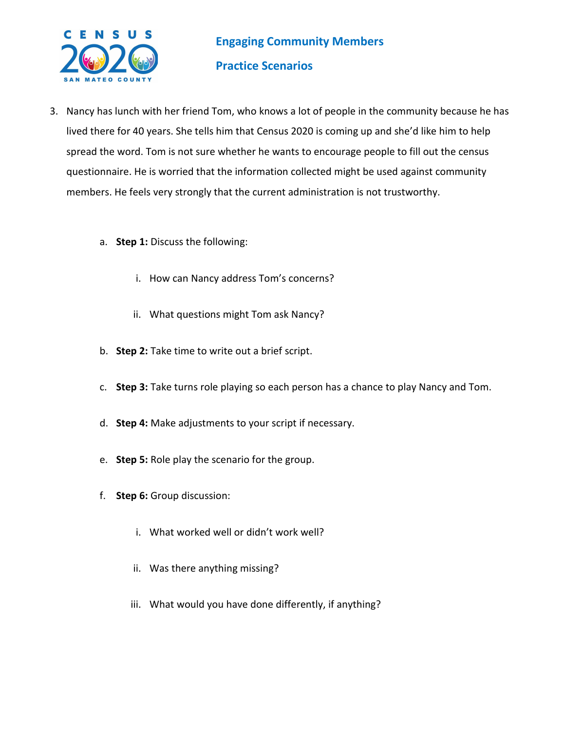

- 3. Nancy has lunch with her friend Tom, who knows a lot of people in the community because he has lived there for 40 years. She tells him that Census 2020 is coming up and she'd like him to help spread the word. Tom is not sure whether he wants to encourage people to fill out the census questionnaire. He is worried that the information collected might be used against community members. He feels very strongly that the current administration is not trustworthy.
	- a. **Step 1:** Discuss the following:
		- i. How can Nancy address Tom's concerns?
		- ii. What questions might Tom ask Nancy?
	- b. **Step 2:** Take time to write out a brief script.
	- c. **Step 3:** Take turns role playing so each person has a chance to play Nancy and Tom.
	- d. **Step 4:** Make adjustments to your script if necessary.
	- e. **Step 5:** Role play the scenario for the group.
	- f. **Step 6:** Group discussion:
		- i. What worked well or didn't work well?
		- ii. Was there anything missing?
		- iii. What would you have done differently, if anything?